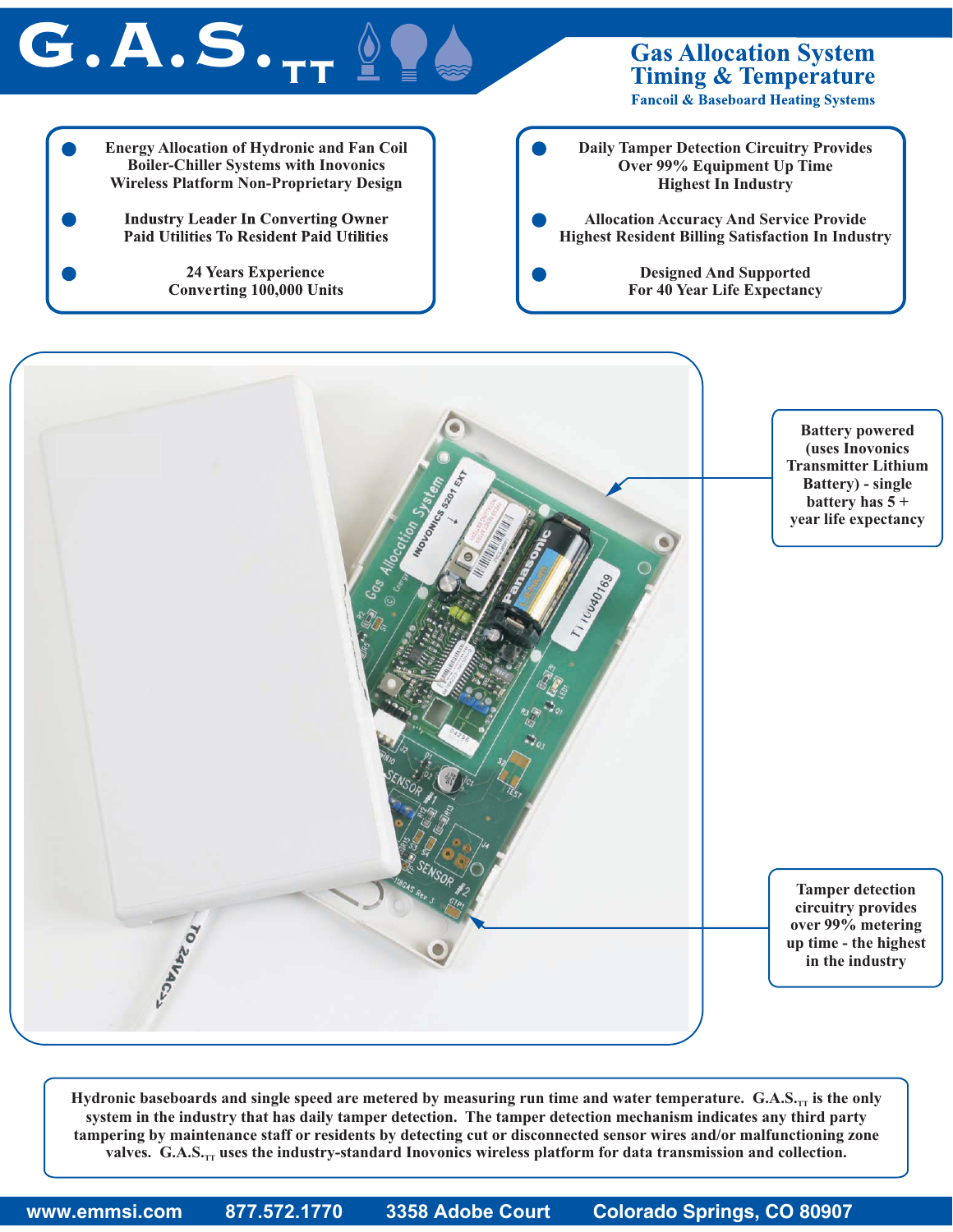



Hydronic baseboards and single speed are metered by measuring run time and water temperature.  $G.A.S._r_T$  is the only system in the industry that has daily tamper detection. The tamper detection mechanism indicates any third party tampering by maintenance staff or residents by detecting cut or disconnected sensor wires and/or malfunctioning zone **valves.** G.A.S<sub><sup>*rT</sup></sub> uses the industry-standard Inovonics wireless platform for data transmission and collection.*</sub></sup>